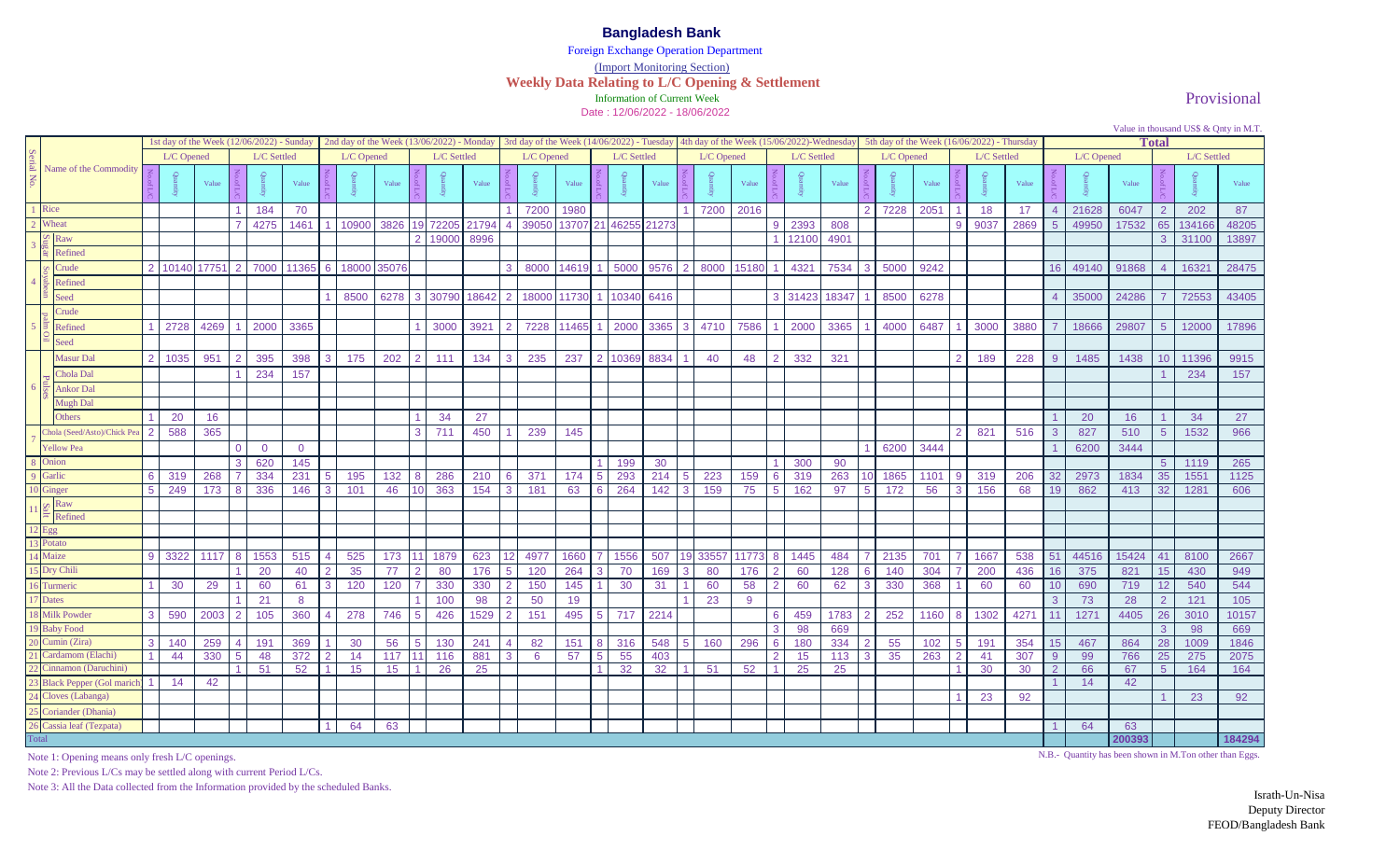## **Bangladesh Bank**

Foreign Exchange Operation Department

 (Import Monitoring Section)  **Weekly Data Relating to L/C Opening & Settlement** Information of Current Week Provisional

Date : 12/06/2022 - 18/06/2022

|       |                                |   |                                           |       |                      |                |                |                                           |             |              |                |             |       |                                            |             |                |   |             |             |                                            |            |       |                |         |                                             |               |      |       |             |      |       |                 |       |        |                |        | Value in thousand US\$ & Qnty in M.T. |
|-------|--------------------------------|---|-------------------------------------------|-------|----------------------|----------------|----------------|-------------------------------------------|-------------|--------------|----------------|-------------|-------|--------------------------------------------|-------------|----------------|---|-------------|-------------|--------------------------------------------|------------|-------|----------------|---------|---------------------------------------------|---------------|------|-------|-------------|------|-------|-----------------|-------|--------|----------------|--------|---------------------------------------|
|       |                                |   | 1st day of the Week (12/06/2022) - Sunday |       |                      |                |                | 2nd day of the Week (13/06/2022) - Monday |             |              |                |             |       | 3rd day of the Week (14/06/2022) - Tuesday |             |                |   |             |             | 4th day of the Week (15/06/2022)-Wednesday |            |       |                |         | 5th day of the Week (16/06/2022) - Thursday |               |      |       |             |      | Total |                 |       |        |                |        |                                       |
|       |                                |   | L/C Opened                                |       |                      | L/C Settled    |                |                                           | L/C Opened  |              |                | L/C Settled |       |                                            | L/C Opened  |                |   |             | L/C Settled |                                            | L/C Opened |       | L/C Settled    |         |                                             | L/C Opened    |      |       | L/C Settled |      |       | L/C Opened      |       |        | L/C Settled    |        |                                       |
|       | Name of the Commodity          |   |                                           | Value |                      |                | Value          |                                           |             | Value        |                |             | Value |                                            |             | Value          |   |             | Value       |                                            |            | Value |                |         | Value                                       |               |      | Value |             |      | Value |                 |       | Value  |                |        | Value                                 |
|       | Rice                           |   |                                           |       | $\blacktriangleleft$ | 184            | 70             |                                           |             |              |                |             |       |                                            | 7200        | 1980           |   |             |             |                                            | 7200       | 2016  |                |         |                                             | $\mathcal{P}$ | 7228 | 2051  |             | 18   | 17    | $\overline{4}$  | 21628 | 6047   | -2             | 202    | 87                                    |
|       | Wheat                          |   |                                           |       | $\overline{7}$       | 4275           | 1461           |                                           | 10900       | 3826         |                | 19 72205    | 21794 |                                            |             | 39050 13707 21 |   | 46255 21273 |             |                                            |            |       | -9             | 2393    | 808                                         |               |      |       | $\circ$     | 9037 | 2869  |                 | 49950 | 17532  | 65             | 134166 | 48205                                 |
|       | Raw                            |   |                                           |       |                      |                |                |                                           |             |              | 2 <sup>1</sup> | 19000       | 8996  |                                            |             |                |   |             |             |                                            |            |       |                | 12100   | 4901                                        |               |      |       |             |      |       |                 |       |        | -3             | 31100  | 13897                                 |
|       | Refined                        |   |                                           |       |                      |                |                |                                           |             |              |                |             |       |                                            |             |                |   |             |             |                                            |            |       |                |         |                                             |               |      |       |             |      |       |                 |       |        |                |        |                                       |
|       | Crude                          |   | 2 10140 17751                             |       | 2 <sup>1</sup>       | 7000           | 11365          | 6                                         | 18000 35076 |              |                |             |       | 3                                          | 8000 14619  |                |   | 5000        | 9576        | $\overline{2}$                             | 8000       | 15180 |                | 4321    | 7534                                        | $\mathbf{3}$  | 5000 | 9242  |             |      |       | 16 <sup>°</sup> | 49140 | 91868  | $\overline{4}$ | 16321  | 28475                                 |
|       | Refined                        |   |                                           |       |                      |                |                |                                           |             |              |                |             |       |                                            |             |                |   |             |             |                                            |            |       |                |         |                                             |               |      |       |             |      |       |                 |       |        |                |        |                                       |
|       | Seed                           |   |                                           |       |                      |                |                |                                           | 8500        | 6278 3 30790 |                |             | 18642 | $\overline{2}$                             | 18000 11730 |                |   | 10340       | 6416        |                                            |            |       |                | 3 31423 | 18347                                       |               | 8500 | 6278  |             |      |       |                 | 35000 | 24286  |                | 72553  | 43405                                 |
|       | Crude                          |   |                                           |       |                      |                |                |                                           |             |              |                |             |       |                                            |             |                |   |             |             |                                            |            |       |                |         |                                             |               |      |       |             |      |       |                 |       |        |                |        |                                       |
|       | Refined                        |   | 2728                                      | 4269  | -1                   | 2000           | 3365           |                                           |             |              |                | 3000        | 3921  | $\mathbf{2}^{\circ}$                       | 7228        | 11465          |   | 2000        | 3365        | -3                                         | 4710       | 7586  |                | 2000    | 3365                                        |               | 4000 | 6487  |             | 3000 | 3880  |                 | 18666 | 29807  | -5             | 12000  | 17896                                 |
|       | Seed                           |   |                                           |       |                      |                |                |                                           |             |              |                |             |       |                                            |             |                |   |             |             |                                            |            |       |                |         |                                             |               |      |       |             |      |       |                 |       |        |                |        |                                       |
|       | <b>Masur Dal</b>               |   | 1035                                      | 951   | $\mathcal{P}$        | 395            | 398            | 3                                         | 175         | 202          | $\overline{2}$ | 111         | 134   | 3                                          | 235         | 237            | 2 | 10369       | 8834        |                                            | 40         | 48    | $\overline{2}$ | 332     | 321                                         |               |      |       | -2          | 189  | 228   | 9               | 1485  | 1438   | 1 <sup>c</sup> | 11396  | 9915                                  |
|       | Chola Dal                      |   |                                           |       |                      | 234            | 157            |                                           |             |              |                |             |       |                                            |             |                |   |             |             |                                            |            |       |                |         |                                             |               |      |       |             |      |       |                 |       |        |                | 234    | 157                                   |
|       | <b>Ankor Dal</b>               |   |                                           |       |                      |                |                |                                           |             |              |                |             |       |                                            |             |                |   |             |             |                                            |            |       |                |         |                                             |               |      |       |             |      |       |                 |       |        |                |        |                                       |
|       | Mugh Dal                       |   |                                           |       |                      |                |                |                                           |             |              |                |             |       |                                            |             |                |   |             |             |                                            |            |       |                |         |                                             |               |      |       |             |      |       |                 |       |        |                |        |                                       |
|       | <b>Others</b>                  |   | 20                                        | 16    |                      |                |                |                                           |             |              |                | 34          | 27    |                                            |             |                |   |             |             |                                            |            |       |                |         |                                             |               |      |       |             |      |       |                 | 20    | 16     |                | 34     | 27                                    |
|       | Chola (Seed/Asto)/Chick Pe     |   | 588                                       | 365   |                      |                |                |                                           |             |              | 3 <sup>1</sup> | 711         | 450   |                                            | 239         | 145            |   |             |             |                                            |            |       |                |         |                                             |               |      |       | -2          | 821  | 516   | $\mathcal{R}$   | 827   | 510    | -5             | 1532   | 966                                   |
|       | <b>Yellow Pea</b>              |   |                                           |       | $\overline{0}$       | $\overline{0}$ | $\overline{0}$ |                                           |             |              |                |             |       |                                            |             |                |   |             |             |                                            |            |       |                |         |                                             |               | 6200 | 3444  |             |      |       |                 | 6200  | 3444   |                |        |                                       |
|       | Onion                          |   |                                           |       | 3                    | 620            | 145            |                                           |             |              |                |             |       |                                            |             |                |   | 199         | 30          |                                            |            |       |                | 300     | 90                                          |               |      |       |             |      |       |                 |       |        | 5              | 1119   | 265                                   |
|       | <b>Garlic</b>                  | 6 | 319                                       | 268   |                      | 334            | 231            | $5^{\circ}$                               | 195         | 132          | 8 <sup>1</sup> | 286         | 210   | 6                                          | 371         | 174            | 5 | 293         | 214         |                                            | 223        | 159   | -6             | 319     | 263                                         |               | 1865 | 1101  | <b>g</b>    | 319  | 206   | 32              | 2973  | 1834   | 35             | 1551   | 1125                                  |
|       | Ginger                         |   | 249                                       | 173   | 8                    | 336            | 146            | 3                                         | 101         | 46           | 10             | 363         | 154   | 3                                          | 181         | 63             | 6 | 264         | 142         | 3                                          | 159        | 75    | -5             | 162     | 97                                          | 5             | 172  | 56    |             | 156  | 68    | 19              | 862   | 413    | 32             | 1281   | 606                                   |
|       | Raw                            |   |                                           |       |                      |                |                |                                           |             |              |                |             |       |                                            |             |                |   |             |             |                                            |            |       |                |         |                                             |               |      |       |             |      |       |                 |       |        |                |        |                                       |
|       | Refined                        |   |                                           |       |                      |                |                |                                           |             |              |                |             |       |                                            |             |                |   |             |             |                                            |            |       |                |         |                                             |               |      |       |             |      |       |                 |       |        |                |        |                                       |
|       | <u>igg</u>                     |   |                                           |       |                      |                |                |                                           |             |              |                |             |       |                                            |             |                |   |             |             |                                            |            |       |                |         |                                             |               |      |       |             |      |       |                 |       |        |                |        |                                       |
|       | Potato                         |   |                                           |       |                      |                |                |                                           |             |              |                |             |       |                                            |             |                |   |             |             |                                            |            |       |                |         |                                             |               |      |       |             |      |       |                 |       |        |                |        |                                       |
|       | Maize                          | 9 | 3322                                      | 1117  | 8                    | 1553           | 515            | 4                                         | 525         | 173          | 11.            | 1879        | 623   | 12                                         | 4977        | 1660           |   | 1556        | 507         |                                            | 33557      | 11773 | -8             | 1445    | 484                                         |               | 2135 | 701   |             | 1667 | 538   | 51              | 44516 | 15424  | 41             | 8100   | 2667                                  |
|       | Dry Chili                      |   |                                           |       |                      | 20             | 40             | 2                                         | 35          | 77           | 2 <sup>1</sup> | 80          | 176   | 5                                          | 120         | 264            | 3 | 70          | 169         | -3                                         | 80         | 176   | $\overline{2}$ | 60      | 128                                         |               | 140  | 304   |             | 200  | 436   | 16              | 375   | 821    | 15             | 430    | 949                                   |
|       | Turmeric                       |   | 30                                        | 29    | -1                   | 60             | 61             | 3                                         | 120         | 120          | 7 <sup>1</sup> | 330         | 330   | $\overline{2}$                             | 150         | 145            |   | 30          | 31          |                                            | 60         | 58    | $\overline{2}$ | 60      | 62                                          | 3             | 330  | 368   |             | 60   | 60    | 10 <sup>°</sup> | 690   | 719    | 12             | 540    | 544                                   |
|       | <b>Dates</b>                   |   |                                           |       |                      | 21             | 8              |                                           |             |              |                | 100         | 98    |                                            | 50          | 19             |   |             |             |                                            | 23         | 9     |                |         |                                             |               |      |       |             |      |       | 3               | 73    | 28     | $\overline{2}$ | 121    | 105                                   |
|       | Milk Powder                    | 3 | 590                                       | 2003  | 2                    | 105            | 360            |                                           | 278         | 746          | 5              | 426         | 1529  | $\overline{2}$                             | 151         | 495            | 5 | 717         | 2214        |                                            |            |       | -6             | 459     | 1783                                        | 2             | 252  | 1160  | -8          | 1302 | 4271  | 11              | 1271  | 4405   | 26             | 3010   | 10157                                 |
|       | <b>Baby Food</b>               |   |                                           |       |                      |                |                |                                           |             |              |                |             |       |                                            |             |                |   |             |             |                                            |            |       | -3             | 98      | 669                                         |               |      |       |             |      |       |                 |       |        | -3             | 98     | 669                                   |
|       | Cumin (Zira)                   | 3 | 140                                       | 259   |                      | 191            | 369            |                                           | 30          | 56           | 5 <sup>1</sup> | 130         | 241   | 4                                          | 82          | 151            | 8 | 316         | 548         | -5                                         | 160        | 296   | 6              | 180     | 334                                         |               | 55   | 102   | -5          | 191  | 354   | 15 <sup>1</sup> | 467   | 864    | 28             | 1009   | 1846                                  |
|       | Cardamom (Elachi)              |   | 44                                        | 330   | 5                    | 48             | 372            |                                           | 14          | 117          | 11             | 116         | 881   | 3                                          | 6           | 57             | 5 | 55          | 403         |                                            |            |       |                | 15      | 113                                         | 3             | 35   | 263   |             | 41   | 307   | 9               | 99    | 766    | 25             | 275    | 2075                                  |
|       | Cinnamon (Daruchini)           |   |                                           |       | $\blacktriangleleft$ | 51             | 52             |                                           | 15          | 15           | 1.             | 26          | 25    |                                            |             |                |   | 32          | 32          |                                            | 51         | 52    |                | 25      | 25                                          |               |      |       |             | 30   | 30    | 2               | 66    | 67     | -5             | 164    | 164                                   |
|       | <b>Black Pepper (Gol maric</b> |   | 14                                        | 42    |                      |                |                |                                           |             |              |                |             |       |                                            |             |                |   |             |             |                                            |            |       |                |         |                                             |               |      |       |             |      |       |                 | 14    | 42     |                |        |                                       |
|       | Cloves (Labanga)               |   |                                           |       |                      |                |                |                                           |             |              |                |             |       |                                            |             |                |   |             |             |                                            |            |       |                |         |                                             |               |      |       |             | 23   | 92    |                 |       |        |                | 23     | 92                                    |
|       | Coriander (Dhania)             |   |                                           |       |                      |                |                |                                           |             |              |                |             |       |                                            |             |                |   |             |             |                                            |            |       |                |         |                                             |               |      |       |             |      |       |                 |       |        |                |        |                                       |
|       | Cassia leaf (Tezpata)          |   |                                           |       |                      |                |                |                                           | 64          | 63           |                |             |       |                                            |             |                |   |             |             |                                            |            |       |                |         |                                             |               |      |       |             |      |       |                 | 64    | 63     |                |        |                                       |
| Total |                                |   |                                           |       |                      |                |                |                                           |             |              |                |             |       |                                            |             |                |   |             |             |                                            |            |       |                |         |                                             |               |      |       |             |      |       |                 |       | 200393 |                |        | 184294                                |

Note 2: Previous L/Cs may be settled along with current Period L/Cs.

Note 3: All the Data collected from the Information provided by the scheduled Banks.

Note 1: Opening means only fresh L/C openings. N.B.- Quantity has been shown in M.Ton other than Eggs.

Israth-Un-Nisa Deputy Director FEOD/Bangladesh Bank